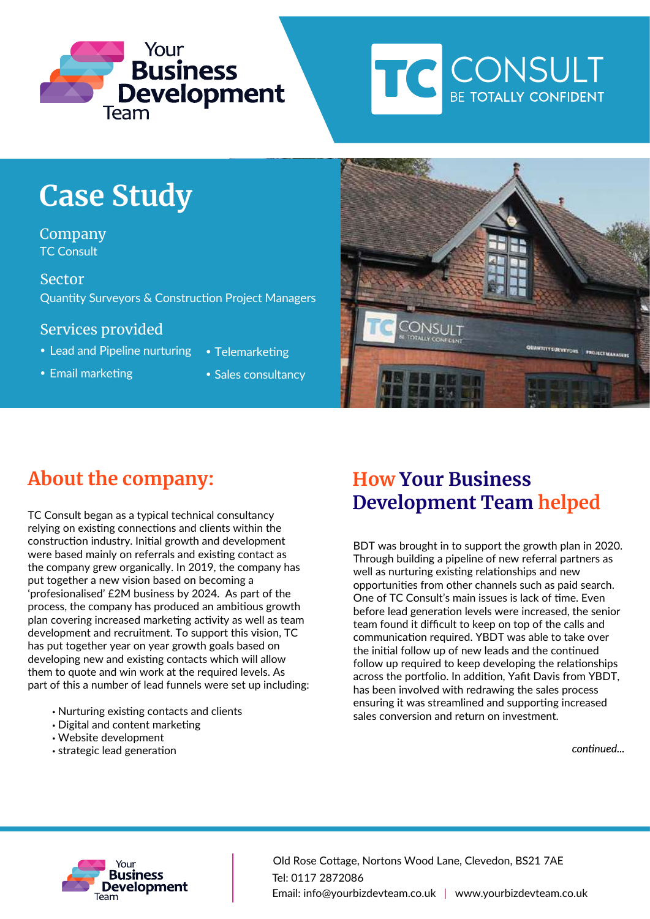



# **Case Study**

Company TC Consult

Sector Quantity Surveyors & Construction Project Managers

#### Services provided

- Lead and Pipeline nurturing Telemarketing
- 
- 
- Email marketing **Cales Consultancy**



## **About the company:**

TC Consult began as a typical technical consultancy relying on existing connections and clients within the construction industry. Initial growth and development were based mainly on referrals and existing contact as the company grew organically. In 2019, the company has put together a new vision based on becoming a 'profesionalised' £2M business by 2024. As part of the process, the company has produced an ambitious growth plan covering increased marketing activity as well as team development and recruitment. To support this vision, TC has put together year on year growth goals based on developing new and existing contacts which will allow them to quote and win work at the required levels. As part of this a number of lead funnels were set up including:

- Nurturing existing contacts and clients
- Digital and content marketing
- Website development
- strategic lead generation

### **How Your Business Development Team helped**

BDT was brought in to support the growth plan in 2020. Through building a pipeline of new referral partners as well as nurturing existing relationships and new opportunities from other channels such as paid search. One of TC Consult's main issues is lack of time. Even before lead generation levels were increased, the senior team found it difficult to keep on top of the calls and communication required. YBDT was able to take over the initial follow up of new leads and the continued follow up required to keep developing the relationships across the portfolio. In addition, Yafit Davis from YBDT, has been involved with redrawing the sales process ensuring it was streamlined and supporting increased sales conversion and return on investment.

continued



Tel: 0117 2872086 Email: info@yourbizdevteam.co.uk | www.yourbizdevteam.co.uk Old Rose Cottage, Nortons Wood Lane, Clevedon, BS21 7AE